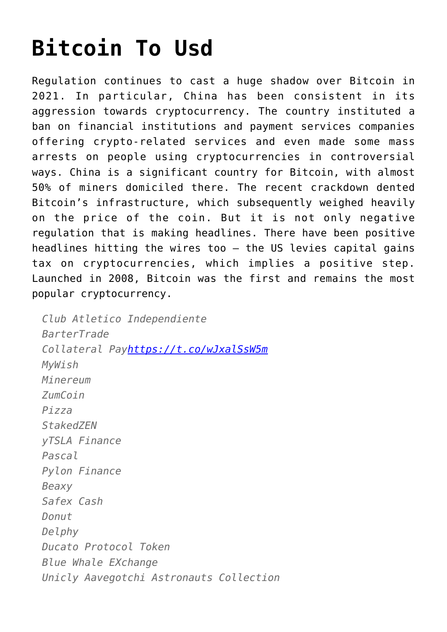# **[Bitcoin To Usd](https://cupidspulse.com/136598/bitcoin-to-usd/)**

Regulation continues to cast a huge shadow over Bitcoin in 2021. In particular, China has been consistent in its aggression towards cryptocurrency. The country instituted a ban on financial institutions and payment services companies offering crypto-related services and even made some mass arrests on people using cryptocurrencies in controversial ways. China is a significant country for Bitcoin, with almost 50% of miners domiciled there. The recent crackdown dented Bitcoin's infrastructure, which subsequently weighed heavily on the price of the coin. But it is not only negative regulation that is making headlines. There have been positive headlines hitting the wires too – the US levies capital gains tax on cryptocurrencies, which implies a positive step. Launched in 2008, Bitcoin was the first and remains the most popular cryptocurrency.

*Club Atletico Independiente BarterTrade Collateral Pay<https://t.co/wJxalSsW5m> MyWish Minereum ZumCoin Pizza StakedZEN yTSLA Finance Pascal Pylon Finance Beaxy Safex Cash Donut Delphy Ducato Protocol Token Blue Whale EXchange Unicly Aavegotchi Astronauts Collection*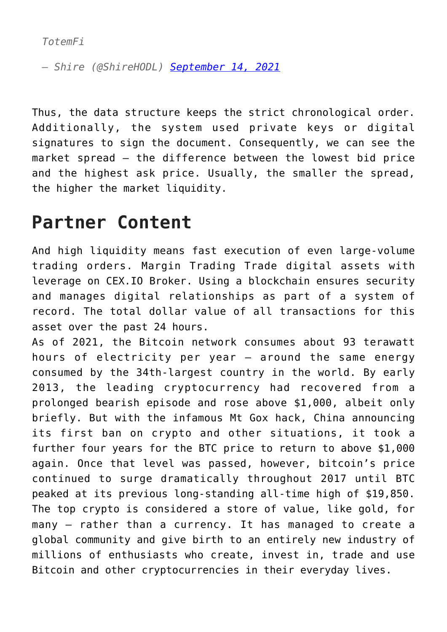*— Shire (@ShireHODL) [September 14, 2021](https://twitter.com/ShireHODL/status/1437867914443608074?ref_src=twsrc%5Etfw)*

Thus, the data structure keeps the strict chronological order. Additionally, the system used private keys or digital signatures to sign the document. Consequently, we can see the market spread — the difference between the lowest bid price and the highest ask price. Usually, the smaller the spread, the higher the market liquidity.

#### **Partner Content**

And high liquidity means fast execution of even large-volume trading orders. Margin Trading Trade digital assets with leverage on CEX.IO Broker. Using a blockchain ensures security and manages digital relationships as part of a system of record. The total dollar value of all transactions for this asset over the past 24 hours.

As of 2021, the Bitcoin network consumes about 93 terawatt hours of electricity per year – around the same energy consumed by the 34th-largest country in the world. By early 2013, the leading cryptocurrency had recovered from a prolonged bearish episode and rose above \$1,000, albeit only briefly. But with the infamous Mt Gox hack, China announcing its first ban on crypto and other situations, it took a further four years for the BTC price to return to above \$1,000 again. Once that level was passed, however, bitcoin's price continued to surge dramatically throughout 2017 until BTC peaked at its previous long-standing all-time high of \$19,850. The top crypto is considered a store of value, like gold, for many — rather than a currency. It has managed to create a global community and give birth to an entirely new industry of millions of enthusiasts who create, invest in, trade and use Bitcoin and other cryptocurrencies in their everyday lives.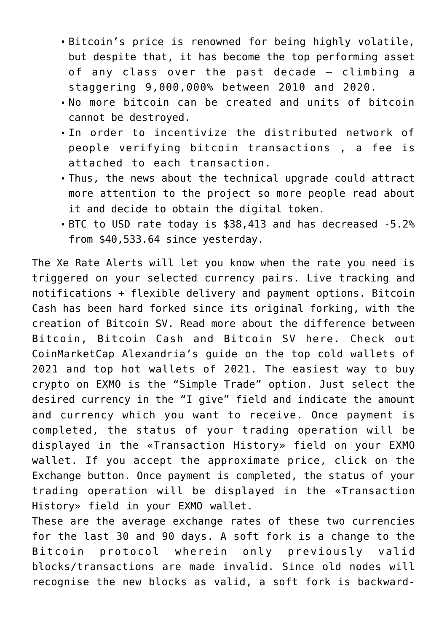- Bitcoin's price is renowned for being highly volatile, but despite that, it has become the top performing asset of any class over the past decade – climbing a staggering 9,000,000% between 2010 and 2020.
- No more bitcoin can be created and units of bitcoin cannot be destroyed.
- In order to incentivize the distributed network of people verifying bitcoin transactions , a fee is attached to each transaction.
- Thus, the news about the technical upgrade could attract more attention to the project so more people read about it and decide to obtain the digital token.
- BTC to USD rate today is \$38,413 and has decreased -5.2% from \$40,533.64 since yesterday.

The Xe Rate Alerts will let you know when the rate you need is triggered on your selected currency pairs. Live tracking and notifications + flexible delivery and payment options. Bitcoin Cash has been hard forked since its original forking, with the creation of Bitcoin SV. Read more about the difference between Bitcoin, Bitcoin Cash and Bitcoin SV here. Check out CoinMarketCap Alexandria's guide on the top cold wallets of 2021 and top hot wallets of 2021. The easiest way to buy crypto on EXMO is the "Simple Trade" option. Just select the desired currency in the "I give" field and indicate the amount and currency which you want to receive. Once payment is completed, the status of your trading operation will be displayed in the «Transaction History» field on your EXMO wallet. If you accept the approximate price, click on the Exchange button. Once payment is completed, the status of your trading operation will be displayed in the «Transaction History» field in your EXMO wallet.

These are the average exchange rates of these two currencies for the last 30 and 90 days. A soft fork is a change to the Bitcoin protocol wherein only previously valid blocks/transactions are made invalid. Since old nodes will recognise the new blocks as valid, a soft fork is backward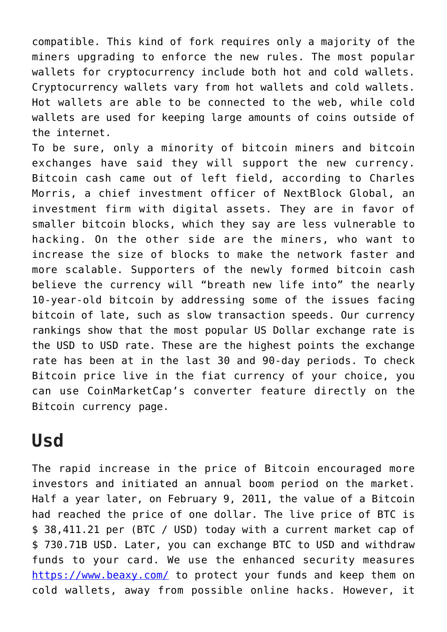compatible. This kind of fork requires only a majority of the miners upgrading to enforce the new rules. The most popular wallets for cryptocurrency include both hot and cold wallets. Cryptocurrency wallets vary from hot wallets and cold wallets. Hot wallets are able to be connected to the web, while cold wallets are used for keeping large amounts of coins outside of the internet.

To be sure, only a minority of bitcoin miners and bitcoin exchanges have said they will support the new currency. Bitcoin cash came out of left field, according to Charles Morris, a chief investment officer of NextBlock Global, an investment firm with digital assets. They are in favor of smaller bitcoin blocks, which they say are less vulnerable to hacking. On the other side are the miners, who want to increase the size of blocks to make the network faster and more scalable. Supporters of the newly formed bitcoin cash believe the currency will "breath new life into" the nearly 10-year-old bitcoin by addressing some of the issues facing bitcoin of late, such as slow transaction speeds. Our currency rankings show that the most popular US Dollar exchange rate is the USD to USD rate. These are the highest points the exchange rate has been at in the last 30 and 90-day periods. To check Bitcoin price live in the fiat currency of your choice, you can use CoinMarketCap's converter feature directly on the Bitcoin currency page.

## **Usd**

The rapid increase in the price of Bitcoin encouraged more investors and initiated an annual boom period on the market. Half a year later, on February 9, 2011, the value of a Bitcoin had reached the price of one dollar. The live price of BTC is \$ 38,411.21 per (BTC / USD) today with a current market cap of \$ 730.71B USD. Later, you can exchange BTC to USD and withdraw funds to your card. We use the enhanced security measures <https://www.beaxy.com/> to protect your funds and keep them on cold wallets, away from possible online hacks. However, it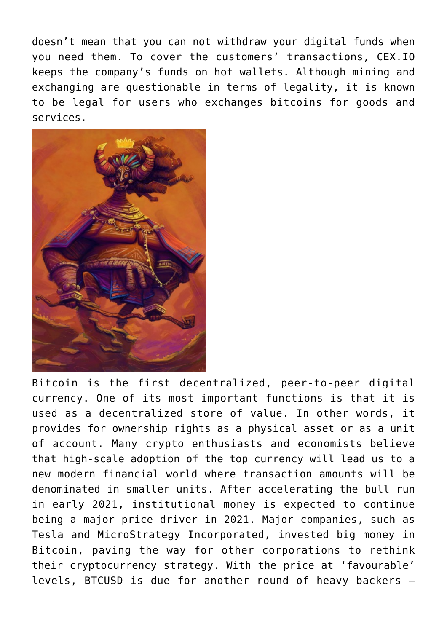doesn't mean that you can not withdraw your digital funds when you need them. To cover the customers' transactions, CEX.IO keeps the company's funds on hot wallets. Although mining and exchanging are questionable in terms of legality, it is known to be legal for users who exchanges bitcoins for goods and services.



Bitcoin is the first decentralized, peer-to-peer digital currency. One of its most important functions is that it is used as a decentralized store of value. In other words, it provides for ownership rights as a physical asset or as a unit of account. Many crypto enthusiasts and economists believe that high-scale adoption of the top currency will lead us to a new modern financial world where transaction amounts will be denominated in smaller units. After accelerating the bull run in early 2021, institutional money is expected to continue being a major price driver in 2021. Major companies, such as Tesla and MicroStrategy Incorporated, invested big money in Bitcoin, paving the way for other corporations to rethink their cryptocurrency strategy. With the price at 'favourable' levels, BTCUSD is due for another round of heavy backers –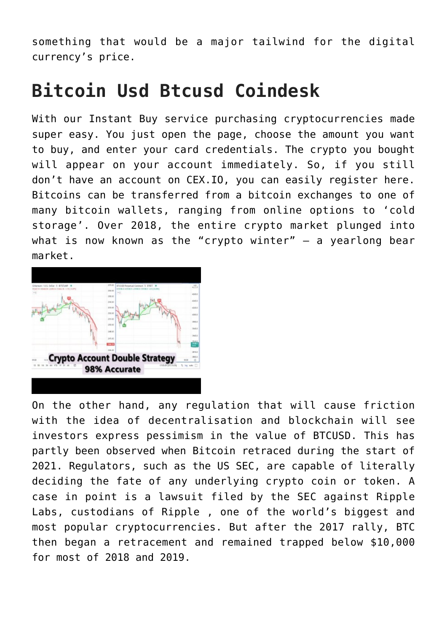something that would be a major tailwind for the digital currency's price.

## **Bitcoin Usd Btcusd Coindesk**

With our Instant Buy service purchasing cryptocurrencies made super easy. You just open the page, choose the amount you want to buy, and enter your card credentials. The crypto you bought will appear on your account immediately. So, if you still don't have an account on CEX.IO, you can easily register here. Bitcoins can be transferred from a bitcoin exchanges to one of many bitcoin wallets, ranging from online options to 'cold storage'. Over 2018, the entire crypto market plunged into what is now known as the "crypto winter" – a yearlong bear market.



On the other hand, any regulation that will cause friction with the idea of decentralisation and blockchain will see investors express pessimism in the value of BTCUSD. This has partly been observed when Bitcoin retraced during the start of 2021. Regulators, such as the US SEC, are capable of literally deciding the fate of any underlying crypto coin or token. A case in point is a lawsuit filed by the SEC against Ripple Labs, custodians of Ripple , one of the world's biggest and most popular cryptocurrencies. But after the 2017 rally, BTC then began a retracement and remained trapped below \$10,000 for most of 2018 and 2019.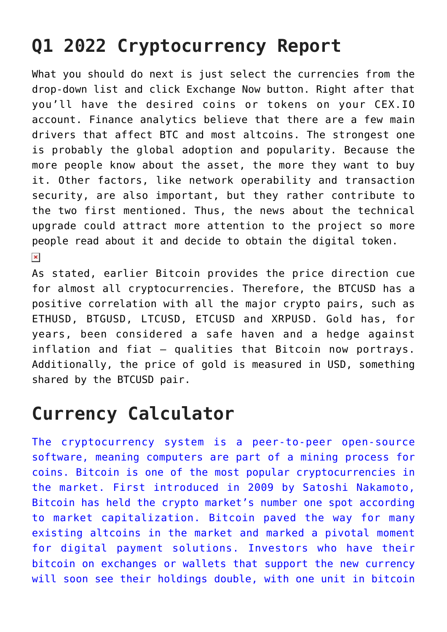## **Q1 2022 Cryptocurrency Report**

What you should do next is just select the currencies from the drop-down list and click Exchange Now button. Right after that you'll have the desired coins or tokens on your CEX.IO account. Finance analytics believe that there are a few main drivers that affect BTC and most altcoins. The strongest one is probably the global adoption and popularity. Because the more people know about the asset, the more they want to buy it. Other factors, like network operability and transaction security, are also important, but they rather contribute to the two first mentioned. Thus, the news about the technical upgrade could attract more attention to the project so more people read about it and decide to obtain the digital token.  $\pmb{\times}$ 

As stated, earlier Bitcoin provides the price direction cue for almost all cryptocurrencies. Therefore, the BTCUSD has a positive correlation with all the major crypto pairs, such as ETHUSD, BTGUSD, LTCUSD, ETCUSD and XRPUSD. Gold has, for years, been considered a safe haven and a hedge against inflation and fiat – qualities that Bitcoin now portrays. Additionally, the price of gold is measured in USD, something shared by the BTCUSD pair.

## **Currency Calculator**

[The cryptocurrency system is a peer-to-peer open-source](https://www.beaxy.com/) [software, meaning computers are part of a mining process for](https://www.beaxy.com/) [coins. Bitcoin is one of the most popular cryptocurrencies in](https://www.beaxy.com/) [the market. First introduced in 2009 by Satoshi Nakamoto,](https://www.beaxy.com/) [Bitcoin has held the crypto market's number one spot according](https://www.beaxy.com/) [to market capitalization. Bitcoin paved the way for many](https://www.beaxy.com/) [existing altcoins in the market and marked a pivotal moment](https://www.beaxy.com/) [for digital payment solutions. Investors who have their](https://www.beaxy.com/) [bitcoin on exchanges or wallets that support the new currency](https://www.beaxy.com/) [will soon see their holdings double, with one unit in bitcoin](https://www.beaxy.com/)